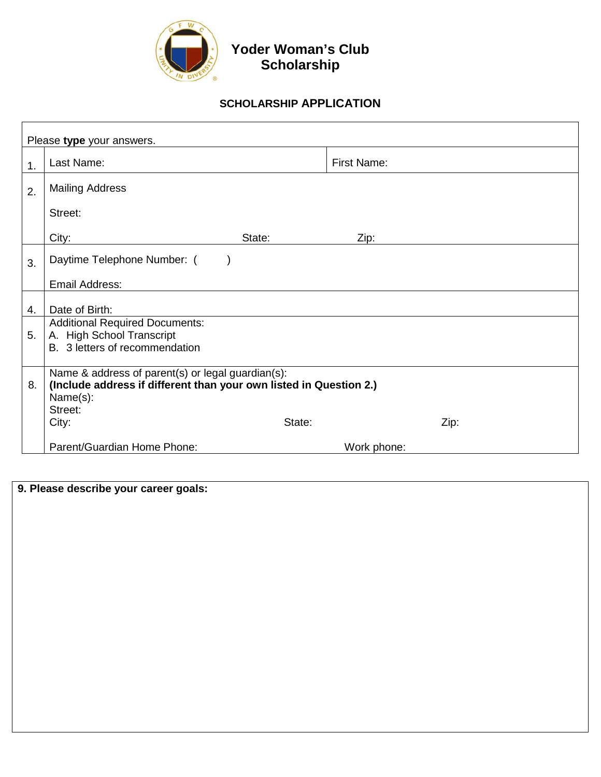

## **SCHOLARSHIP APPLICATION**

| Please type your answers. |                                                                                                                                                |        |             |      |
|---------------------------|------------------------------------------------------------------------------------------------------------------------------------------------|--------|-------------|------|
| 1.                        | Last Name:                                                                                                                                     |        | First Name: |      |
| 2.                        | <b>Mailing Address</b>                                                                                                                         |        |             |      |
|                           | Street:                                                                                                                                        |        |             |      |
|                           | City:                                                                                                                                          | State: | Zip:        |      |
| 3.                        | Daytime Telephone Number: (                                                                                                                    |        |             |      |
|                           | Email Address:                                                                                                                                 |        |             |      |
| $\overline{4}$ .          | Date of Birth:                                                                                                                                 |        |             |      |
| 5.                        | <b>Additional Required Documents:</b><br>A. High School Transcript<br>B. 3 letters of recommendation                                           |        |             |      |
| 8.                        | Name & address of parent(s) or legal guardian(s):<br>(Include address if different than your own listed in Question 2.)<br>Name(s):<br>Street: |        |             |      |
|                           | City:                                                                                                                                          | State: |             | Zip: |
|                           | Parent/Guardian Home Phone:                                                                                                                    |        | Work phone: |      |

**9. Please describe your career goals:**